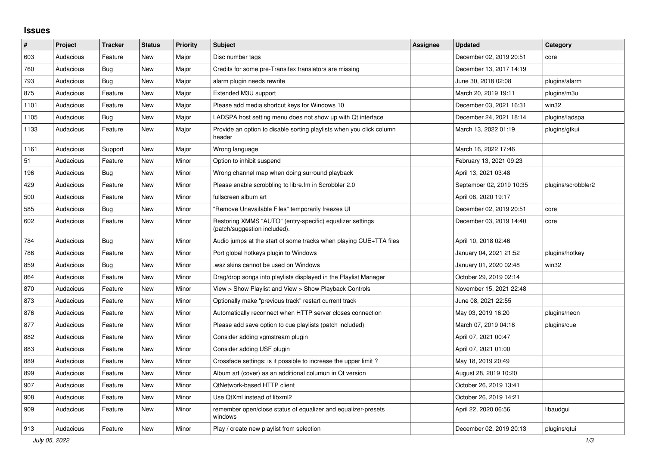## **Issues**

| $\vert$ # | Project   | <b>Tracker</b> | <b>Status</b> | <b>Priority</b> | <b>Subject</b>                                                                            | <b>Assignee</b> | <b>Updated</b>           | Category           |
|-----------|-----------|----------------|---------------|-----------------|-------------------------------------------------------------------------------------------|-----------------|--------------------------|--------------------|
| 603       | Audacious | Feature        | New           | Major           | Disc number tags                                                                          |                 | December 02, 2019 20:51  | core               |
| 760       | Audacious | Bug            | <b>New</b>    | Major           | Credits for some pre-Transifex translators are missing                                    |                 | December 13, 2017 14:19  |                    |
| 793       | Audacious | <b>Bug</b>     | <b>New</b>    | Major           | alarm plugin needs rewrite                                                                |                 | June 30, 2018 02:08      | plugins/alarm      |
| 875       | Audacious | Feature        | <b>New</b>    | Major           | Extended M3U support                                                                      |                 | March 20, 2019 19:11     | plugins/m3u        |
| 1101      | Audacious | Feature        | <b>New</b>    | Major           | Please add media shortcut keys for Windows 10                                             |                 | December 03, 2021 16:31  | win32              |
| 1105      | Audacious | <b>Bug</b>     | <b>New</b>    | Major           | LADSPA host setting menu does not show up with Qt interface                               |                 | December 24, 2021 18:14  | plugins/ladspa     |
| 1133      | Audacious | Feature        | New           | Major           | Provide an option to disable sorting playlists when you click column<br>header            |                 | March 13, 2022 01:19     | plugins/gtkui      |
| 1161      | Audacious | Support        | <b>New</b>    | Major           | Wrong language                                                                            |                 | March 16, 2022 17:46     |                    |
| 51        | Audacious | Feature        | New           | Minor           | Option to inhibit suspend                                                                 |                 | February 13, 2021 09:23  |                    |
| 196       | Audacious | <b>Bug</b>     | New           | Minor           | Wrong channel map when doing surround playback                                            |                 | April 13, 2021 03:48     |                    |
| 429       | Audacious | Feature        | <b>New</b>    | Minor           | Please enable scrobbling to libre.fm in Scrobbler 2.0                                     |                 | September 02, 2019 10:35 | plugins/scrobbler2 |
| 500       | Audacious | Feature        | <b>New</b>    | Minor           | fullscreen album art                                                                      |                 | April 08, 2020 19:17     |                    |
| 585       | Audacious | <b>Bug</b>     | New           | Minor           | "Remove Unavailable Files" temporarily freezes UI                                         |                 | December 02, 2019 20:51  | core               |
| 602       | Audacious | Feature        | <b>New</b>    | Minor           | Restoring XMMS "AUTO" (entry-specific) equalizer settings<br>(patch/suggestion included). |                 | December 03, 2019 14:40  | core               |
| 784       | Audacious | Bug            | New           | Minor           | Audio jumps at the start of some tracks when playing CUE+TTA files                        |                 | April 10, 2018 02:46     |                    |
| 786       | Audacious | Feature        | <b>New</b>    | Minor           | Port global hotkeys plugin to Windows                                                     |                 | January 04, 2021 21:52   | plugins/hotkey     |
| 859       | Audacious | Bug            | <b>New</b>    | Minor           | wsz skins cannot be used on Windows                                                       |                 | January 01, 2020 02:48   | win32              |
| 864       | Audacious | Feature        | New           | Minor           | Drag/drop songs into playlists displayed in the Playlist Manager                          |                 | October 29, 2019 02:14   |                    |
| 870       | Audacious | Feature        | New           | Minor           | View > Show Playlist and View > Show Playback Controls                                    |                 | November 15, 2021 22:48  |                    |
| 873       | Audacious | Feature        | <b>New</b>    | Minor           | Optionally make "previous track" restart current track                                    |                 | June 08, 2021 22:55      |                    |
| 876       | Audacious | Feature        | <b>New</b>    | Minor           | Automatically reconnect when HTTP server closes connection                                |                 | May 03, 2019 16:20       | plugins/neon       |
| 877       | Audacious | Feature        | <b>New</b>    | Minor           | Please add save option to cue playlists (patch included)                                  |                 | March 07, 2019 04:18     | plugins/cue        |
| 882       | Audacious | Feature        | <b>New</b>    | Minor           | Consider adding vgmstream plugin                                                          |                 | April 07, 2021 00:47     |                    |
| 883       | Audacious | Feature        | <b>New</b>    | Minor           | Consider adding USF plugin                                                                |                 | April 07, 2021 01:00     |                    |
| 889       | Audacious | Feature        | New           | Minor           | Crossfade settings: is it possible to increase the upper limit?                           |                 | May 18, 2019 20:49       |                    |
| 899       | Audacious | Feature        | New           | Minor           | Album art (cover) as an additional columun in Qt version                                  |                 | August 28, 2019 10:20    |                    |
| 907       | Audacious | Feature        | New           | Minor           | <b>QtNetwork-based HTTP client</b>                                                        |                 | October 26, 2019 13:41   |                    |
| 908       | Audacious | Feature        | New           | Minor           | Use QtXml instead of libxml2                                                              |                 | October 26, 2019 14:21   |                    |
| 909       | Audacious | Feature        | New           | Minor           | remember open/close status of equalizer and equalizer-presets<br>windows                  |                 | April 22, 2020 06:56     | libaudgui          |
| 913       | Audacious | Feature        | <b>New</b>    | Minor           | Play / create new playlist from selection                                                 |                 | December 02, 2019 20:13  | plugins/qtui       |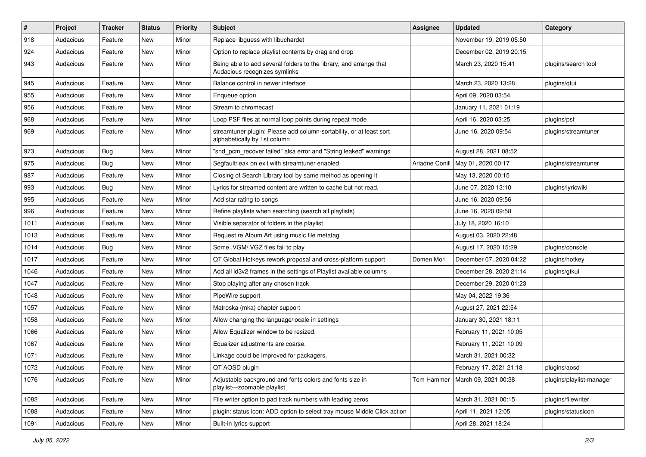| $\sharp$ | Project   | <b>Tracker</b> | <b>Status</b> | <b>Priority</b> | Subject                                                                                             | <b>Assignee</b> | <b>Updated</b>          | Category                 |
|----------|-----------|----------------|---------------|-----------------|-----------------------------------------------------------------------------------------------------|-----------------|-------------------------|--------------------------|
| 918      | Audacious | Feature        | <b>New</b>    | Minor           | Replace libguess with libuchardet                                                                   |                 | November 19, 2019 05:50 |                          |
| 924      | Audacious | Feature        | New           | Minor           | Option to replace playlist contents by drag and drop                                                |                 | December 02, 2019 20:15 |                          |
| 943      | Audacious | Feature        | New           | Minor           | Being able to add several folders to the library, and arrange that<br>Audacious recognizes symlinks |                 | March 23, 2020 15:41    | plugins/search tool      |
| 945      | Audacious | Feature        | <b>New</b>    | Minor           | Balance control in newer interface                                                                  |                 | March 23, 2020 13:28    | plugins/qtui             |
| 955      | Audacious | Feature        | New           | Minor           | Enqueue option                                                                                      |                 | April 09, 2020 03:54    |                          |
| 956      | Audacious | Feature        | <b>New</b>    | Minor           | Stream to chromecast                                                                                |                 | January 11, 2021 01:19  |                          |
| 968      | Audacious | Feature        | New           | Minor           | Loop PSF files at normal loop points during repeat mode                                             |                 | April 16, 2020 03:25    | plugins/psf              |
| 969      | Audacious | Feature        | New           | Minor           | streamtuner plugin: Please add column-sortability, or at least sort<br>alphabetically by 1st column |                 | June 16, 2020 09:54     | plugins/streamtuner      |
| 973      | Audacious | Bug            | <b>New</b>    | Minor           | "snd_pcm_recover failed" alsa error and "String leaked" warnings                                    |                 | August 28, 2021 08:52   |                          |
| 975      | Audacious | Bug            | <b>New</b>    | Minor           | Segfault/leak on exit with streamtuner enabled                                                      | Ariadne Conill  | May 01, 2020 00:17      | plugins/streamtuner      |
| 987      | Audacious | Feature        | <b>New</b>    | Minor           | Closing of Search Library tool by same method as opening it                                         |                 | May 13, 2020 00:15      |                          |
| 993      | Audacious | Bug            | New           | Minor           | Lyrics for streamed content are written to cache but not read.                                      |                 | June 07, 2020 13:10     | plugins/lyricwiki        |
| 995      | Audacious | Feature        | <b>New</b>    | Minor           | Add star rating to songs                                                                            |                 | June 16, 2020 09:56     |                          |
| 996      | Audacious | Feature        | New           | Minor           | Refine playlists when searching (search all playlists)                                              |                 | June 16, 2020 09:58     |                          |
| 1011     | Audacious | Feature        | New           | Minor           | Visible separator of folders in the playlist                                                        |                 | July 18, 2020 16:10     |                          |
| 1013     | Audacious | Feature        | <b>New</b>    | Minor           | Request re Album Art using music file metatag                                                       |                 | August 03, 2020 22:48   |                          |
| 1014     | Audacious | Bug            | New           | Minor           | Some .VGM/.VGZ files fail to play                                                                   |                 | August 17, 2020 15:29   | plugins/console          |
| 1017     | Audacious | Feature        | <b>New</b>    | Minor           | QT Global Hotkeys rework proposal and cross-platform support                                        | Domen Mori      | December 07, 2020 04:22 | plugins/hotkey           |
| 1046     | Audacious | Feature        | New           | Minor           | Add all id3v2 frames in the settings of Playlist available columns                                  |                 | December 28, 2020 21:14 | plugins/gtkui            |
| 1047     | Audacious | Feature        | New           | Minor           | Stop playing after any chosen track                                                                 |                 | December 29, 2020 01:23 |                          |
| 1048     | Audacious | Feature        | <b>New</b>    | Minor           | PipeWire support                                                                                    |                 | May 04, 2022 19:36      |                          |
| 1057     | Audacious | Feature        | New           | Minor           | Matroska (mka) chapter support                                                                      |                 | August 27, 2021 22:54   |                          |
| 1058     | Audacious | Feature        | New           | Minor           | Allow changing the language/locale in settings                                                      |                 | January 30, 2021 18:11  |                          |
| 1066     | Audacious | Feature        | New           | Minor           | Allow Equalizer window to be resized.                                                               |                 | February 11, 2021 10:05 |                          |
| 1067     | Audacious | Feature        | New           | Minor           | Equalizer adjustments are coarse.                                                                   |                 | February 11, 2021 10:09 |                          |
| 1071     | Audacious | Feature        | <b>New</b>    | Minor           | Linkage could be improved for packagers.                                                            |                 | March 31, 2021 00:32    |                          |
| 1072     | Audacious | Feature        | New           | Minor           | QT AOSD plugin                                                                                      |                 | February 17, 2021 21:18 | plugins/aosd             |
| 1076     | Audacious | Feature        | New           | Minor           | Adjustable background and fonts colors and fonts size in<br>playlist---zoomable playlist            | Tom Hammer      | March 09, 2021 00:38    | plugins/playlist-manager |
| 1082     | Audacious | Feature        | New           | Minor           | File writer option to pad track numbers with leading zeros                                          |                 | March 31, 2021 00:15    | plugins/filewriter       |
| 1088     | Audacious | Feature        | New           | Minor           | plugin: status icon: ADD option to select tray mouse Middle Click action                            |                 | April 11, 2021 12:05    | plugins/statusicon       |
| 1091     | Audacious | Feature        | New           | Minor           | Built-in lyrics support                                                                             |                 | April 28, 2021 18:24    |                          |